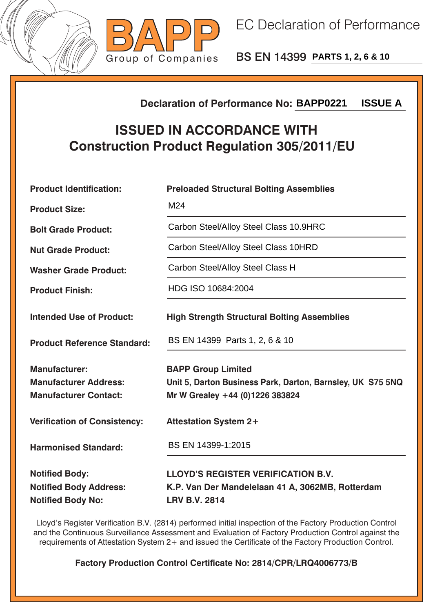



BS EN 14399 **PARTS 1, 2, 6 & 10**

## **Declaration of Performance No:**

## **ISSUED IN ACCORDANCE WITH Construction Product Regulation 305/2011/EU**

|                                                                                        | <b>ISSUE A</b><br><b>Declaration of Performance No: BAPP0221</b>                                                           |  |  |
|----------------------------------------------------------------------------------------|----------------------------------------------------------------------------------------------------------------------------|--|--|
| <b>ISSUED IN ACCORDANCE WITH</b><br><b>Construction Product Regulation 305/2011/EU</b> |                                                                                                                            |  |  |
| <b>Product Identification:</b>                                                         | <b>Preloaded Structural Bolting Assemblies</b>                                                                             |  |  |
| <b>Product Size:</b>                                                                   | M24                                                                                                                        |  |  |
| <b>Bolt Grade Product:</b>                                                             | Carbon Steel/Alloy Steel Class 10.9HRC                                                                                     |  |  |
| <b>Nut Grade Product:</b>                                                              | Carbon Steel/Alloy Steel Class 10HRD                                                                                       |  |  |
| <b>Washer Grade Product:</b>                                                           | Carbon Steel/Alloy Steel Class H                                                                                           |  |  |
| <b>Product Finish:</b>                                                                 | HDG ISO 10684:2004                                                                                                         |  |  |
| <b>Intended Use of Product:</b>                                                        | <b>High Strength Structural Bolting Assemblies</b>                                                                         |  |  |
| <b>Product Reference Standard:</b>                                                     | BS EN 14399 Parts 1, 2, 6 & 10                                                                                             |  |  |
| <b>Manufacturer:</b><br><b>Manufacturer Address:</b><br><b>Manufacturer Contact:</b>   | <b>BAPP Group Limited</b><br>Unit 5, Darton Business Park, Darton, Barnsley, UK S75 5NQ<br>Mr W Grealey +44 (0)1226 383824 |  |  |
| <b>Verification of Consistency:</b>                                                    | <b>Attestation System 2+</b>                                                                                               |  |  |
| <b>Harmonised Standard:</b>                                                            | BS EN 14399-1:2015                                                                                                         |  |  |
| <b>Notified Body:</b><br><b>Notified Body Address:</b><br><b>Notified Body No:</b>     | <b>LLOYD'S REGISTER VERIFICATION B.V.</b><br>K.P. Van Der Mandelelaan 41 A, 3062MB, Rotterdam<br><b>LRV B.V. 2814</b>      |  |  |

Lloyd's Register Verification B.V. (2814) performed initial inspection of the Factory Production Control and the Continuous Surveillance Assessment and Evaluation of Factory Production Control against the requirements of Attestation System 2+ and issued the Certificate of the Factory Production Control.

**Factory Production Control Certificate No: 2814/CPR/LRQ4006773/B**